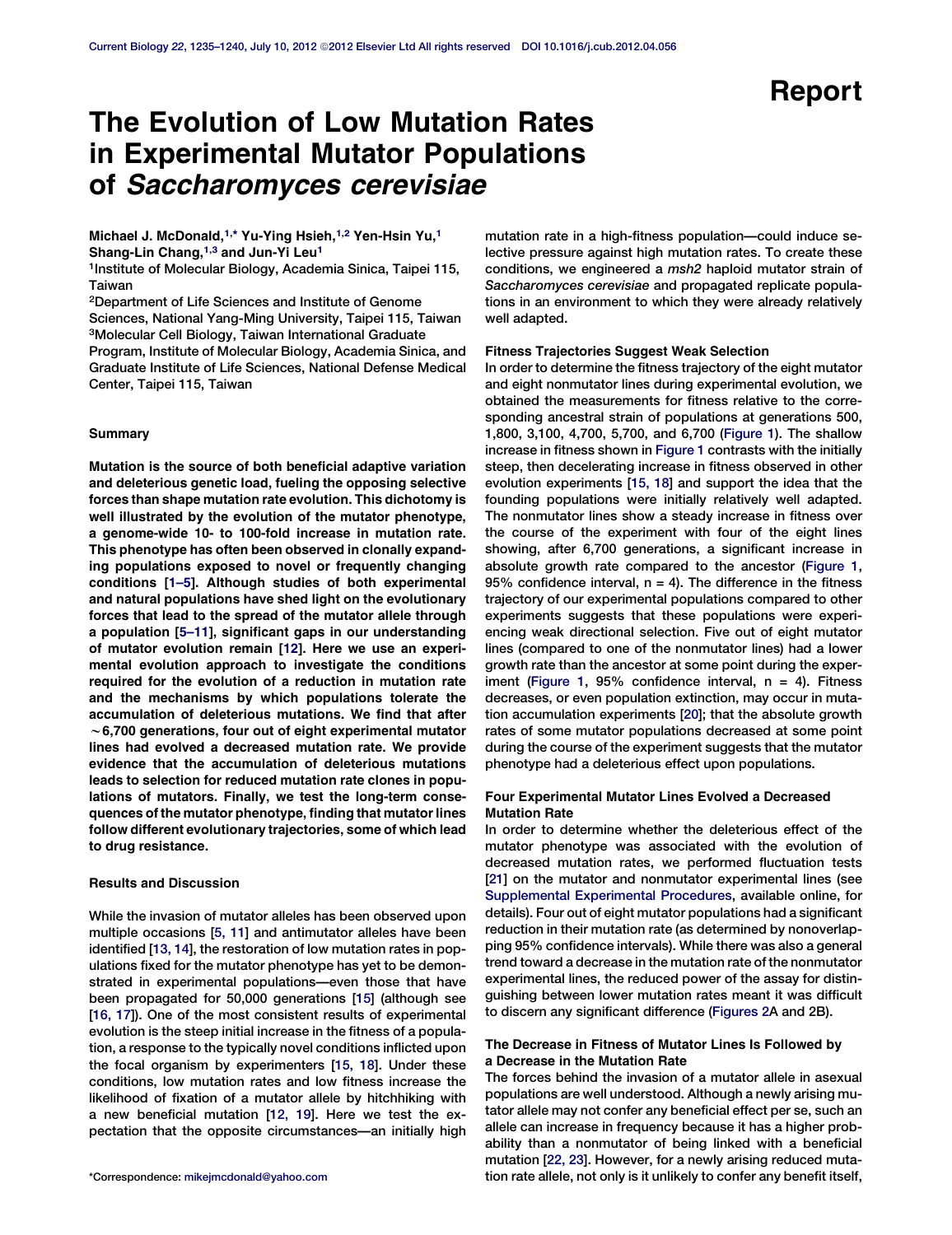# Report

# The Evolution of Low Mutation Rates in Experimental Mutator Populations of Saccharomyces cerevisiae

Michael J. McDonald,<sup>1,\*</sup> Yu-Ying Hsieh,<sup>1,2</sup> Yen-Hsin Yu,<sup>1</sup> Shang-Lin Chang,<sup>1,3</sup> and Jun-Yi Leu<sup>1</sup>

1Institute of Molecular Biology, Academia Sinica, Taipei 115, Taiwan

2Department of Life Sciences and Institute of Genome Sciences, National Yang-Ming University, Taipei 115, Taiwan 3Molecular Cell Biology, Taiwan International Graduate Program, Institute of Molecular Biology, Academia Sinica, and Graduate Institute of Life Sciences, National Defense Medical Center, Taipei 115, Taiwan

## **Summary**

Mutation is the source of both beneficial adaptive variation and deleterious genetic load, fueling the opposing selective forces than shape mutation rate evolution. This dichotomy is well illustrated by the evolution of the mutator phenotype, a genome-wide 10- to 100-fold increase in mutation rate. This phenotype has often been observed in clonally expanding populations exposed to novel or frequently changing conditions [[1–5\]](#page-4-0). Although studies of both experimental and natural populations have shed light on the evolutionary forces that lead to the spread of the mutator allele through a population [[5–11](#page-4-0)], significant gaps in our understanding of mutator evolution remain [[12\]](#page-4-0). Here we use an experimental evolution approach to investigate the conditions required for the evolution of a reduction in mutation rate and the mechanisms by which populations tolerate the accumulation of deleterious mutations. We find that after  $\sim$  6,700 generations, four out of eight experimental mutator lines had evolved a decreased mutation rate. We provide evidence that the accumulation of deleterious mutations leads to selection for reduced mutation rate clones in populations of mutators. Finally, we test the long-term consequences of the mutator phenotype, finding that mutator lines follow different evolutionary trajectories, some of which lead to drug resistance.

### Results and Discussion

While the invasion of mutator alleles has been observed upon multiple occasions [[5, 11](#page-4-0)] and antimutator alleles have been identified [[13, 14\]](#page-4-0), the restoration of low mutation rates in populations fixed for the mutator phenotype has yet to be demonstrated in experimental populations—even those that have been propagated for 50,000 generations [[15](#page-4-0)] (although see [[16, 17](#page-4-0)]). One of the most consistent results of experimental evolution is the steep initial increase in the fitness of a population, a response to the typically novel conditions inflicted upon the focal organism by experimenters [\[15, 18](#page-4-0)]. Under these conditions, low mutation rates and low fitness increase the likelihood of fixation of a mutator allele by hitchhiking with a new beneficial mutation [\[12, 19](#page-4-0)]. Here we test the expectation that the opposite circumstances—an initially high

mutation rate in a high-fitness population—could induce selective pressure against high mutation rates. To create these conditions, we engineered a msh2 haploid mutator strain of Saccharomyces cerevisiae and propagated replicate populations in an environment to which they were already relatively well adapted.

#### Fitness Trajectories Suggest Weak Selection

In order to determine the fitness trajectory of the eight mutator and eight nonmutator lines during experimental evolution, we obtained the measurements for fitness relative to the corresponding ancestral strain of populations at generations 500, 1,800, 3,100, 4,700, 5,700, and 6,700 ([Figure 1](#page-1-0)). The shallow increase in fitness shown in [Figure 1](#page-1-0) contrasts with the initially steep, then decelerating increase in fitness observed in other evolution experiments [\[15, 18](#page-4-0)] and support the idea that the founding populations were initially relatively well adapted. The nonmutator lines show a steady increase in fitness over the course of the experiment with four of the eight lines showing, after 6,700 generations, a significant increase in absolute growth rate compared to the ancestor ([Figure 1](#page-1-0), 95% confidence interval,  $n = 4$ ). The difference in the fitness trajectory of our experimental populations compared to other experiments suggests that these populations were experiencing weak directional selection. Five out of eight mutator lines (compared to one of the nonmutator lines) had a lower growth rate than the ancestor at some point during the experiment [\(Figure 1,](#page-1-0) 95% confidence interval, n = 4). Fitness decreases, or even population extinction, may occur in mutation accumulation experiments [\[20\]](#page-4-0); that the absolute growth rates of some mutator populations decreased at some point during the course of the experiment suggests that the mutator phenotype had a deleterious effect upon populations.

## Four Experimental Mutator Lines Evolved a Decreased Mutation Rate

In order to determine whether the deleterious effect of the mutator phenotype was associated with the evolution of decreased mutation rates, we performed fluctuation tests [[21](#page-4-0)] on the mutator and nonmutator experimental lines (see [Supplemental Experimental Procedures,](#page-4-0) available online, for details). Four out of eight mutator populations had a significant reduction in their mutation rate (as determined by nonoverlapping 95% confidence intervals). While there was also a general trend toward a decrease in the mutation rate of the nonmutator experimental lines, the reduced power of the assay for distinguishing between lower mutation rates meant it was difficult to discern any significant difference ([Figures 2A](#page-2-0) and 2B).

## The Decrease in Fitness of Mutator Lines Is Followed by a Decrease in the Mutation Rate

The forces behind the invasion of a mutator allele in asexual populations are well understood. Although a newly arising mutator allele may not confer any beneficial effect per se, such an allele can increase in frequency because it has a higher probability than a nonmutator of being linked with a beneficial mutation [[22, 23\]](#page-4-0). However, for a newly arising reduced muta- \*Correspondence: [mikejmcdonald@yahoo.com](mailto:mikejmcdonald@yahoo.com) tion rate allele, not only is it unlikely to confer any benefit itself,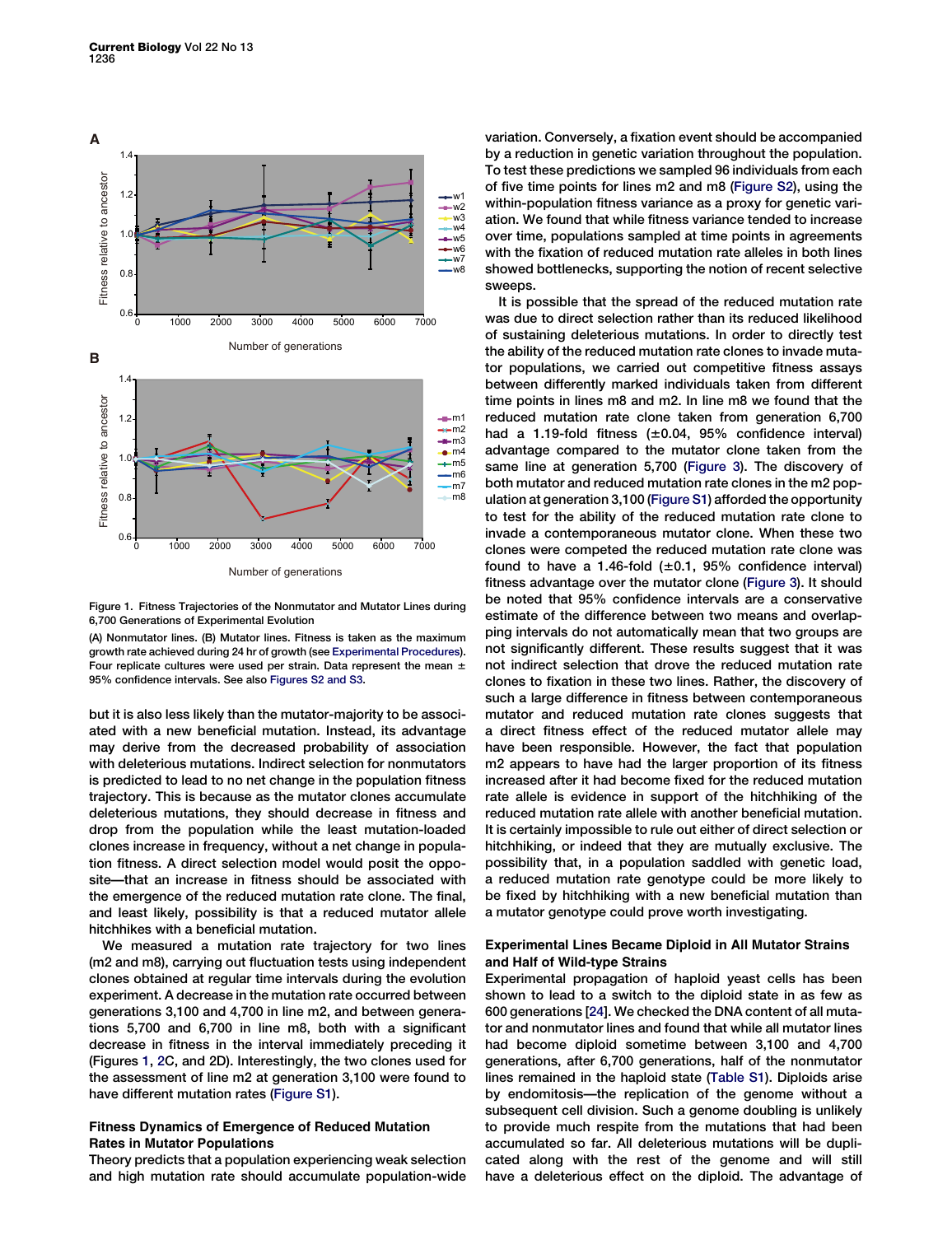<span id="page-1-0"></span>

Figure 1. Fitness Trajectories of the Nonmutator and Mutator Lines during 6,700 Generations of Experimental Evolution

(A) Nonmutator lines. (B) Mutator lines. Fitness is taken as the maximum growth rate achieved during 24 hr of growth (see [Experimental Procedures\)](#page-4-0). Four replicate cultures were used per strain. Data represent the mean  $\pm$ 95% confidence intervals. See also [Figures S2 and S3.](#page-4-0)

but it is also less likely than the mutator-majority to be associated with a new beneficial mutation. Instead, its advantage may derive from the decreased probability of association with deleterious mutations. Indirect selection for nonmutators is predicted to lead to no net change in the population fitness trajectory. This is because as the mutator clones accumulate deleterious mutations, they should decrease in fitness and drop from the population while the least mutation-loaded clones increase in frequency, without a net change in population fitness. A direct selection model would posit the opposite—that an increase in fitness should be associated with the emergence of the reduced mutation rate clone. The final, and least likely, possibility is that a reduced mutator allele hitchhikes with a beneficial mutation.

We measured a mutation rate trajectory for two lines (m2 and m8), carrying out fluctuation tests using independent clones obtained at regular time intervals during the evolution experiment. A decrease in the mutation rate occurred between generations 3,100 and 4,700 in line m2, and between generations 5,700 and 6,700 in line m8, both with a significant decrease in fitness in the interval immediately preceding it (Figures 1, [2](#page-2-0)C, and 2D). Interestingly, the two clones used for the assessment of line m2 at generation 3,100 were found to have different mutation rates ([Figure S1\)](#page-4-0).

## Fitness Dynamics of Emergence of Reduced Mutation Rates in Mutator Populations

Theory predicts that a population experiencing weak selection and high mutation rate should accumulate population-wide

variation. Conversely, a fixation event should be accompanied by a reduction in genetic variation throughout the population. To test these predictions we sampled 96 individuals from each of five time points for lines m2 and m8 [\(Figure S2\)](#page-4-0), using the within-population fitness variance as a proxy for genetic variation. We found that while fitness variance tended to increase over time, populations sampled at time points in agreements with the fixation of reduced mutation rate alleles in both lines showed bottlenecks, supporting the notion of recent selective sweeps.

It is possible that the spread of the reduced mutation rate was due to direct selection rather than its reduced likelihood of sustaining deleterious mutations. In order to directly test the ability of the reduced mutation rate clones to invade mutator populations, we carried out competitive fitness assays between differently marked individuals taken from different time points in lines m8 and m2. In line m8 we found that the reduced mutation rate clone taken from generation 6,700 had a 1.19-fold fitness  $(\pm 0.04, 95\%$  confidence interval) advantage compared to the mutator clone taken from the same line at generation 5,700 ([Figure 3](#page-3-0)). The discovery of both mutator and reduced mutation rate clones in the m2 population at generation 3,100 ([Figure S1\)](#page-4-0) afforded the opportunity to test for the ability of the reduced mutation rate clone to invade a contemporaneous mutator clone. When these two clones were competed the reduced mutation rate clone was found to have a 1.46-fold  $(\pm 0.1, 95\%$  confidence interval) fitness advantage over the mutator clone [\(Figure 3](#page-3-0)). It should be noted that 95% confidence intervals are a conservative estimate of the difference between two means and overlapping intervals do not automatically mean that two groups are not significantly different. These results suggest that it was not indirect selection that drove the reduced mutation rate clones to fixation in these two lines. Rather, the discovery of such a large difference in fitness between contemporaneous mutator and reduced mutation rate clones suggests that a direct fitness effect of the reduced mutator allele may have been responsible. However, the fact that population m2 appears to have had the larger proportion of its fitness increased after it had become fixed for the reduced mutation rate allele is evidence in support of the hitchhiking of the reduced mutation rate allele with another beneficial mutation. It is certainly impossible to rule out either of direct selection or hitchhiking, or indeed that they are mutually exclusive. The possibility that, in a population saddled with genetic load, a reduced mutation rate genotype could be more likely to be fixed by hitchhiking with a new beneficial mutation than a mutator genotype could prove worth investigating.

## Experimental Lines Became Diploid in All Mutator Strains and Half of Wild-type Strains

Experimental propagation of haploid yeast cells has been shown to lead to a switch to the diploid state in as few as 600 generations [\[24\]](#page-4-0). We checked the DNA content of all mutator and nonmutator lines and found that while all mutator lines had become diploid sometime between 3,100 and 4,700 generations, after 6,700 generations, half of the nonmutator lines remained in the haploid state [\(Table S1\)](#page-4-0). Diploids arise by endomitosis—the replication of the genome without a subsequent cell division. Such a genome doubling is unlikely to provide much respite from the mutations that had been accumulated so far. All deleterious mutations will be duplicated along with the rest of the genome and will still have a deleterious effect on the diploid. The advantage of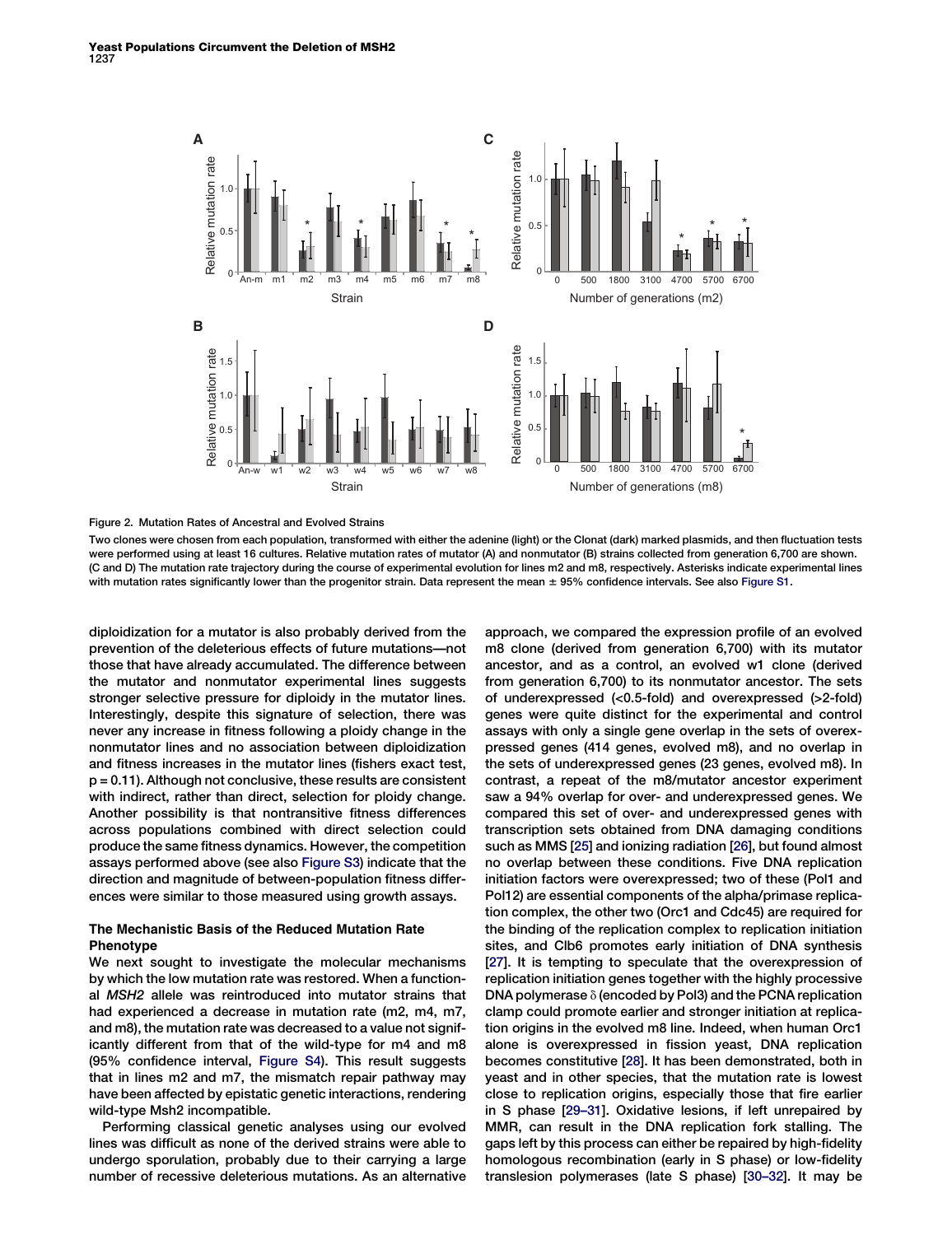<span id="page-2-0"></span>

Figure 2. Mutation Rates of Ancestral and Evolved Strains

Two clones were chosen from each population, transformed with either the adenine (light) or the Clonat (dark) marked plasmids, and then fluctuation tests were performed using at least 16 cultures. Relative mutation rates of mutator (A) and nonmutator (B) strains collected from generation 6,700 are shown. (C and D) The mutation rate trajectory during the course of experimental evolution for lines m2 and m8, respectively. Asterisks indicate experimental lines with mutation rates significantly lower than the progenitor strain. Data represent the mean  $\pm$  95% confidence intervals. See also [Figure S1.](#page-4-0)

diploidization for a mutator is also probably derived from the prevention of the deleterious effects of future mutations—not those that have already accumulated. The difference between the mutator and nonmutator experimental lines suggests stronger selective pressure for diploidy in the mutator lines. Interestingly, despite this signature of selection, there was never any increase in fitness following a ploidy change in the nonmutator lines and no association between diploidization and fitness increases in the mutator lines (fishers exact test, p = 0.11). Although not conclusive, these results are consistent with indirect, rather than direct, selection for ploidy change. Another possibility is that nontransitive fitness differences across populations combined with direct selection could produce the same fitness dynamics. However, the competition assays performed above (see also [Figure S3](#page-4-0)) indicate that the direction and magnitude of between-population fitness differences were similar to those measured using growth assays.

## The Mechanistic Basis of the Reduced Mutation Rate Phenotype

We next sought to investigate the molecular mechanisms by which the low mutation rate was restored. When a functional MSH2 allele was reintroduced into mutator strains that had experienced a decrease in mutation rate (m2, m4, m7, and m8), the mutation rate was decreased to a value not significantly different from that of the wild-type for m4 and m8 (95% confidence interval, [Figure S4\)](#page-4-0). This result suggests that in lines m2 and m7, the mismatch repair pathway may have been affected by epistatic genetic interactions, rendering wild-type Msh2 incompatible.

Performing classical genetic analyses using our evolved lines was difficult as none of the derived strains were able to undergo sporulation, probably due to their carrying a large number of recessive deleterious mutations. As an alternative

approach, we compared the expression profile of an evolved m8 clone (derived from generation 6,700) with its mutator ancestor, and as a control, an evolved w1 clone (derived from generation 6,700) to its nonmutator ancestor. The sets of underexpressed (<0.5-fold) and overexpressed (>2-fold) genes were quite distinct for the experimental and control assays with only a single gene overlap in the sets of overexpressed genes (414 genes, evolved m8), and no overlap in the sets of underexpressed genes (23 genes, evolved m8). In contrast, a repeat of the m8/mutator ancestor experiment saw a 94% overlap for over- and underexpressed genes. We compared this set of over- and underexpressed genes with transcription sets obtained from DNA damaging conditions such as MMS [[25](#page-4-0)] and ionizing radiation [[26](#page-4-0)], but found almost no overlap between these conditions. Five DNA replication initiation factors were overexpressed; two of these (Pol1 and Pol12) are essential components of the alpha/primase replication complex, the other two (Orc1 and Cdc45) are required for the binding of the replication complex to replication initiation sites, and Clb6 promotes early initiation of DNA synthesis [[27](#page-4-0)]. It is tempting to speculate that the overexpression of replication initiation genes together with the highly processive DNA polymerase  $\delta$  (encoded by Pol3) and the PCNA replication clamp could promote earlier and stronger initiation at replication origins in the evolved m8 line. Indeed, when human Orc1 alone is overexpressed in fission yeast, DNA replication becomes constitutive [[28\]](#page-4-0). It has been demonstrated, both in yeast and in other species, that the mutation rate is lowest close to replication origins, especially those that fire earlier in S phase [[29–31](#page-5-0)]. Oxidative lesions, if left unrepaired by MMR, can result in the DNA replication fork stalling. The gaps left by this process can either be repaired by high-fidelity homologous recombination (early in S phase) or low-fidelity translesion polymerases (late S phase) [[30–32\]](#page-5-0). It may be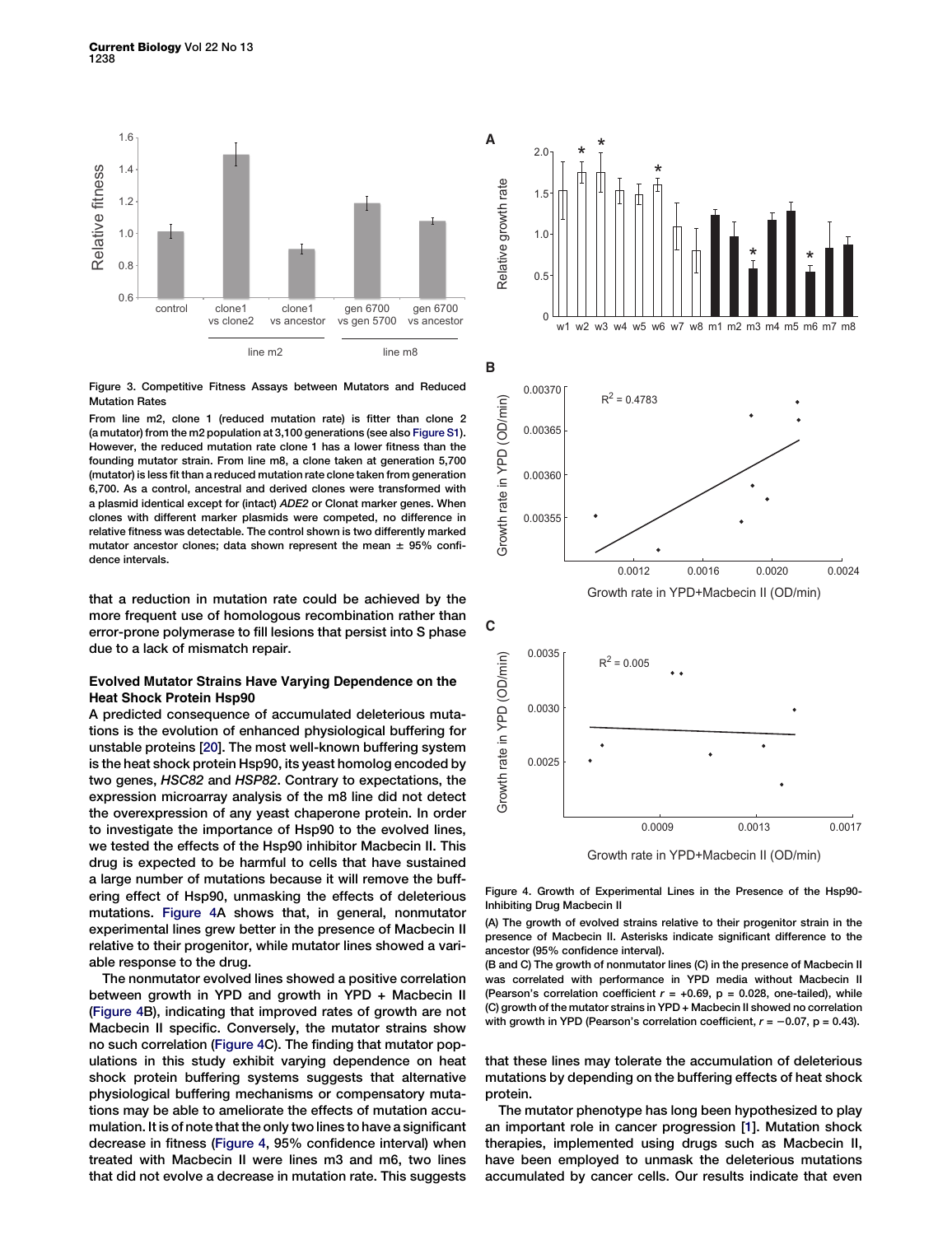<span id="page-3-0"></span>

Figure 3. Competitive Fitness Assays between Mutators and Reduced Mutation Rates

From line m2, clone 1 (reduced mutation rate) is fitter than clone 2 (a mutator) from the m2 population at 3,100 generations (see also [Figure S1\)](#page-4-0). However, the reduced mutation rate clone 1 has a lower fitness than the founding mutator strain. From line m8, a clone taken at generation 5,700 (mutator) is less fit than a reduced mutation rate clone taken from generation 6,700. As a control, ancestral and derived clones were transformed with a plasmid identical except for (intact) ADE2 or Clonat marker genes. When clones with different marker plasmids were competed, no difference in relative fitness was detectable. The control shown is two differently marked mutator ancestor clones; data shown represent the mean  $\pm$  95% confidence intervals.

that a reduction in mutation rate could be achieved by the more frequent use of homologous recombination rather than error-prone polymerase to fill lesions that persist into S phase due to a lack of mismatch repair.

# Evolved Mutator Strains Have Varying Dependence on the Heat Shock Protein Hsp90

A predicted consequence of accumulated deleterious mutations is the evolution of enhanced physiological buffering for unstable proteins [[20](#page-4-0)]. The most well-known buffering system is the heat shock protein Hsp90, its yeast homolog encoded by two genes, HSC82 and HSP82. Contrary to expectations, the expression microarray analysis of the m8 line did not detect the overexpression of any yeast chaperone protein. In order to investigate the importance of Hsp90 to the evolved lines, we tested the effects of the Hsp90 inhibitor Macbecin II. This drug is expected to be harmful to cells that have sustained a large number of mutations because it will remove the buffering effect of Hsp90, unmasking the effects of deleterious mutations. Figure 4A shows that, in general, nonmutator experimental lines grew better in the presence of Macbecin II relative to their progenitor, while mutator lines showed a variable response to the drug.

The nonmutator evolved lines showed a positive correlation between growth in YPD and growth in YPD + Macbecin II (Figure 4B), indicating that improved rates of growth are not Macbecin II specific. Conversely, the mutator strains show no such correlation (Figure 4C). The finding that mutator populations in this study exhibit varying dependence on heat shock protein buffering systems suggests that alternative physiological buffering mechanisms or compensatory mutations may be able to ameliorate the effects of mutation accumulation. It is of note that the only two lines to have a significant decrease in fitness (Figure 4, 95% confidence interval) when treated with Macbecin II were lines m3 and m6, two lines that did not evolve a decrease in mutation rate. This suggests



Growth rate in YPD+Macbecin II (OD/min)

Figure 4. Growth of Experimental Lines in the Presence of the Hsp90- Inhibiting Drug Macbecin II

(A) The growth of evolved strains relative to their progenitor strain in the presence of Macbecin II. Asterisks indicate significant difference to the ancestor (95% confidence interval).

(B and C) The growth of nonmutator lines (C) in the presence of Macbecin II was correlated with performance in YPD media without Macbecin II (Pearson's correlation coefficient  $r = +0.69$ ,  $p = 0.028$ , one-tailed), while (C) growth of the mutator strains in YPD + Macbecin II showed no correlation with growth in YPD (Pearson's correlation coefficient,  $r = -0.07$ , p = 0.43).

that these lines may tolerate the accumulation of deleterious mutations by depending on the buffering effects of heat shock protein.

The mutator phenotype has long been hypothesized to play an important role in cancer progression [\[1\]](#page-4-0). Mutation shock therapies, implemented using drugs such as Macbecin II, have been employed to unmask the deleterious mutations accumulated by cancer cells. Our results indicate that even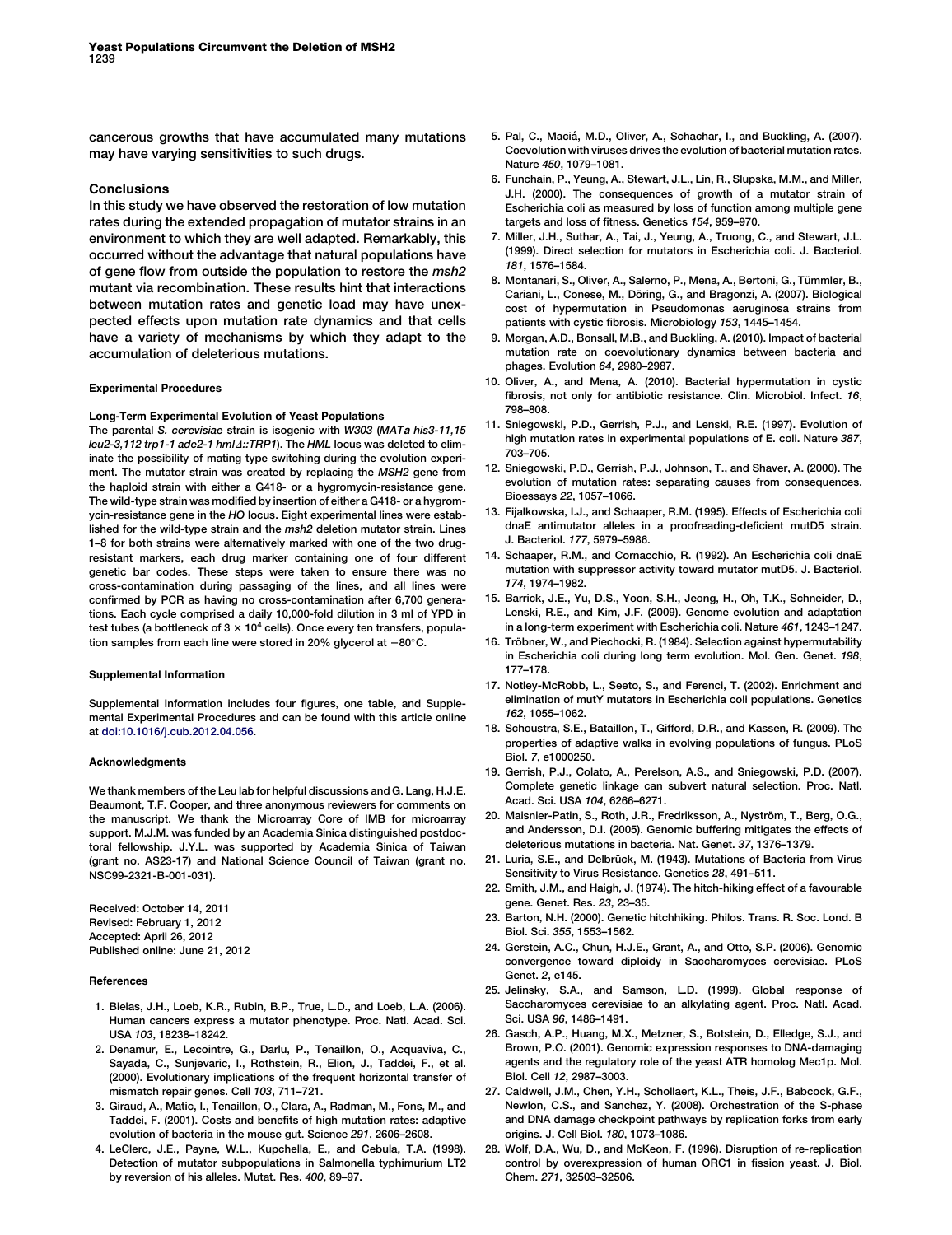<span id="page-4-0"></span>cancerous growths that have accumulated many mutations may have varying sensitivities to such drugs.

### Conclusions

In this study we have observed the restoration of low mutation rates during the extended propagation of mutator strains in an environment to which they are well adapted. Remarkably, this occurred without the advantage that natural populations have of gene flow from outside the population to restore the msh2 mutant via recombination. These results hint that interactions between mutation rates and genetic load may have unexpected effects upon mutation rate dynamics and that cells have a variety of mechanisms by which they adapt to the accumulation of deleterious mutations.

### Experimental Procedures

### Long-Term Experimental Evolution of Yeast Populations

The parental S. cerevisiae strain is isogenic with W303 (MATa his3-11,15 leu2-3,112 trp1-1 ade2-1 hml 4::TRP1). The HML locus was deleted to eliminate the possibility of mating type switching during the evolution experiment. The mutator strain was created by replacing the MSH2 gene from the haploid strain with either a G418- or a hygromycin-resistance gene. The wild-type strain was modified by insertion of either a G418- or a hygromycin-resistance gene in the HO locus. Eight experimental lines were established for the wild-type strain and the msh2 deletion mutator strain. Lines 1–8 for both strains were alternatively marked with one of the two drugresistant markers, each drug marker containing one of four different genetic bar codes. These steps were taken to ensure there was no cross-contamination during passaging of the lines, and all lines were confirmed by PCR as having no cross-contamination after 6,700 generations. Each cycle comprised a daily 10,000-fold dilution in 3 ml of YPD in test tubes (a bottleneck of  $3 \times 10^4$  cells). Once every ten transfers, population samples from each line were stored in 20% glycerol at  $-80^{\circ}$ C.

#### Supplemental Information

Supplemental Information includes four figures, one table, and Supplemental Experimental Procedures and can be found with this article online at [doi:10.1016/j.cub.2012.04.056.](http://dx.doi.org/doi:10.1016/j.cub.2012.04.056)

#### Acknowledgments

We thank members of the Leu lab for helpful discussions and G. Lang, H.J.E. Beaumont, T.F. Cooper, and three anonymous reviewers for comments on the manuscript. We thank the Microarray Core of IMB for microarray support. M.J.M. was funded by an Academia Sinica distinguished postdoctoral fellowship. J.Y.L. was supported by Academia Sinica of Taiwan (grant no. AS23-17) and National Science Council of Taiwan (grant no. NSC99-2321-B-001-031).

Received: October 14, 2011 Revised: February 1, 2012 Accepted: April 26, 2012 Published online: June 21, 2012

#### References

- 1. Bielas, J.H., Loeb, K.R., Rubin, B.P., True, L.D., and Loeb, L.A. (2006). Human cancers express a mutator phenotype. Proc. Natl. Acad. Sci. USA 103, 18238–18242.
- 2. Denamur, E., Lecointre, G., Darlu, P., Tenaillon, O., Acquaviva, C., Sayada, C., Sunjevaric, I., Rothstein, R., Elion, J., Taddei, F., et al. (2000). Evolutionary implications of the frequent horizontal transfer of mismatch repair genes. Cell 103, 711-721.
- 3. Giraud, A., Matic, I., Tenaillon, O., Clara, A., Radman, M., Fons, M., and Taddei, F. (2001). Costs and benefits of high mutation rates: adaptive evolution of bacteria in the mouse gut. Science 291, 2606–2608.
- 4. LeClerc, J.E., Payne, W.L., Kupchella, E., and Cebula, T.A. (1998). Detection of mutator subpopulations in Salmonella typhimurium LT2 by reversion of his alleles. Mutat. Res. 400, 89–97.
- 5. Pal, C., Maciá, M.D., Oliver, A., Schachar, I., and Buckling, A. (2007). Coevolution with viruses drives the evolution of bacterial mutation rates. Nature 450, 1079–1081.
- 6. Funchain, P., Yeung, A., Stewart, J.L., Lin, R., Slupska, M.M., and Miller, J.H. (2000). The consequences of growth of a mutator strain of Escherichia coli as measured by loss of function among multiple gene targets and loss of fitness. Genetics 154, 959–970.
- 7. Miller, J.H., Suthar, A., Tai, J., Yeung, A., Truong, C., and Stewart, J.L. (1999). Direct selection for mutators in Escherichia coli. J. Bacteriol. 181, 1576–1584.
- 8. Montanari, S., Oliver, A., Salerno, P., Mena, A., Bertoni, G., Tümmler, B., Cariani, L., Conese, M., Döring, G., and Bragonzi, A. (2007). Biological cost of hypermutation in Pseudomonas aeruginosa strains from patients with cystic fibrosis. Microbiology 153, 1445–1454.
- 9. Morgan, A.D., Bonsall, M.B., and Buckling, A. (2010). Impact of bacterial mutation rate on coevolutionary dynamics between bacteria and phages. Evolution 64, 2980–2987.
- 10. Oliver, A., and Mena, A. (2010). Bacterial hypermutation in cystic fibrosis, not only for antibiotic resistance. Clin. Microbiol. Infect. 16, 798–808.
- 11. Sniegowski, P.D., Gerrish, P.J., and Lenski, R.E. (1997). Evolution of high mutation rates in experimental populations of E. coli. Nature 387, 703–705.
- 12. Sniegowski, P.D., Gerrish, P.J., Johnson, T., and Shaver, A. (2000). The evolution of mutation rates: separating causes from consequences. Bioessays 22, 1057–1066.
- 13. Fijalkowska, I.J., and Schaaper, R.M. (1995). Effects of Escherichia coli dnaE antimutator alleles in a proofreading-deficient mutD5 strain. J. Bacteriol. 177, 5979–5986.
- 14. Schaaper, R.M., and Cornacchio, R. (1992). An Escherichia coli dnaE mutation with suppressor activity toward mutator mutD5. J. Bacteriol. 174, 1974–1982.
- 15. Barrick, J.E., Yu, D.S., Yoon, S.H., Jeong, H., Oh, T.K., Schneider, D., Lenski, R.E., and Kim, J.F. (2009). Genome evolution and adaptation in a long-term experiment with Escherichia coli. Nature 461, 1243–1247.
- 16. Tröbner, W., and Piechocki, R. (1984). Selection against hypermutability in Escherichia coli during long term evolution. Mol. Gen. Genet. 198, 177–178.
- 17. Notley-McRobb, L., Seeto, S., and Ferenci, T. (2002). Enrichment and elimination of mutY mutators in Escherichia coli populations. Genetics 162, 1055–1062.
- 18. Schoustra, S.E., Bataillon, T., Gifford, D.R., and Kassen, R. (2009). The properties of adaptive walks in evolving populations of fungus. PLoS Biol. 7, e1000250.
- 19. Gerrish, P.J., Colato, A., Perelson, A.S., and Sniegowski, P.D. (2007). Complete genetic linkage can subvert natural selection. Proc. Natl. Acad. Sci. USA 104, 6266–6271.
- 20. Maisnier-Patin, S., Roth, J.R., Fredriksson, A., Nyström, T., Berg, O.G., and Andersson, D.I. (2005). Genomic buffering mitigates the effects of deleterious mutations in bacteria. Nat. Genet. 37, 1376–1379.
- 21. Luria, S.E., and Delbrück, M. (1943). Mutations of Bacteria from Virus Sensitivity to Virus Resistance. Genetics 28, 491–511.
- 22. Smith, J.M., and Haigh, J. (1974). The hitch-hiking effect of a favourable gene. Genet. Res. 23, 23–35.
- 23. Barton, N.H. (2000). Genetic hitchhiking. Philos. Trans. R. Soc. Lond. B Biol. Sci. 355, 1553–1562.
- 24. Gerstein, A.C., Chun, H.J.E., Grant, A., and Otto, S.P. (2006). Genomic convergence toward diploidy in Saccharomyces cerevisiae. PLoS Genet. 2, e145.
- 25. Jelinsky, S.A., and Samson, L.D. (1999). Global response of Saccharomyces cerevisiae to an alkylating agent. Proc. Natl. Acad. Sci. USA 96, 1486–1491.
- 26. Gasch, A.P., Huang, M.X., Metzner, S., Botstein, D., Elledge, S.J., and Brown, P.O. (2001). Genomic expression responses to DNA-damaging agents and the regulatory role of the yeast ATR homolog Mec1p. Mol. Biol. Cell 12, 2987–3003.
- 27. Caldwell, J.M., Chen, Y.H., Schollaert, K.L., Theis, J.F., Babcock, G.F., Newlon, C.S., and Sanchez, Y. (2008). Orchestration of the S-phase and DNA damage checkpoint pathways by replication forks from early origins. J. Cell Biol. 180, 1073–1086.
- 28. Wolf, D.A., Wu, D., and McKeon, F. (1996). Disruption of re-replication control by overexpression of human ORC1 in fission yeast. J. Biol. Chem. 271, 32503–32506.